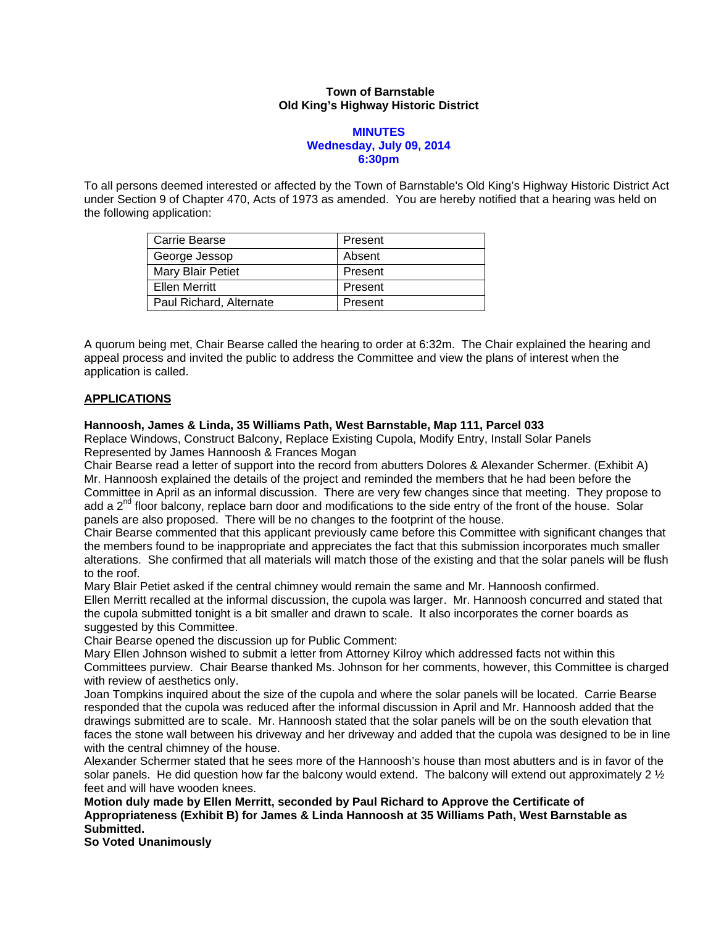## **Town of Barnstable Old King's Highway Historic District**

## **MINUTES Wednesday, July 09, 2014 6:30pm**

To all persons deemed interested or affected by the Town of Barnstable's Old King's Highway Historic District Act under Section 9 of Chapter 470, Acts of 1973 as amended. You are hereby notified that a hearing was held on the following application:

| l Carrie Bearse          | Present |
|--------------------------|---------|
| George Jessop            | Absent  |
| <b>Mary Blair Petiet</b> | Present |
| Ellen Merritt            | Present |
| Paul Richard, Alternate  | Present |

A quorum being met, Chair Bearse called the hearing to order at 6:32m. The Chair explained the hearing and appeal process and invited the public to address the Committee and view the plans of interest when the application is called.

# **APPLICATIONS**

**Hannoosh, James & Linda, 35 Williams Path, West Barnstable, Map 111, Parcel 033** 

Replace Windows, Construct Balcony, Replace Existing Cupola, Modify Entry, Install Solar Panels Represented by James Hannoosh & Frances Mogan

Chair Bearse read a letter of support into the record from abutters Dolores & Alexander Schermer. (Exhibit A) Mr. Hannoosh explained the details of the project and reminded the members that he had been before the Committee in April as an informal discussion. There are very few changes since that meeting. They propose to add a 2<sup>nd</sup> floor balcony, replace barn door and modifications to the side entry of the front of the house. Solar panels are also proposed. There will be no changes to the footprint of the house.

Chair Bearse commented that this applicant previously came before this Committee with significant changes that the members found to be inappropriate and appreciates the fact that this submission incorporates much smaller alterations. She confirmed that all materials will match those of the existing and that the solar panels will be flush to the roof.

Mary Blair Petiet asked if the central chimney would remain the same and Mr. Hannoosh confirmed. Ellen Merritt recalled at the informal discussion, the cupola was larger. Mr. Hannoosh concurred and stated that the cupola submitted tonight is a bit smaller and drawn to scale. It also incorporates the corner boards as suggested by this Committee.

Chair Bearse opened the discussion up for Public Comment:

Mary Ellen Johnson wished to submit a letter from Attorney Kilroy which addressed facts not within this Committees purview. Chair Bearse thanked Ms. Johnson for her comments, however, this Committee is charged with review of aesthetics only.

Joan Tompkins inquired about the size of the cupola and where the solar panels will be located. Carrie Bearse responded that the cupola was reduced after the informal discussion in April and Mr. Hannoosh added that the drawings submitted are to scale. Mr. Hannoosh stated that the solar panels will be on the south elevation that faces the stone wall between his driveway and her driveway and added that the cupola was designed to be in line with the central chimney of the house.

Alexander Schermer stated that he sees more of the Hannoosh's house than most abutters and is in favor of the solar panels. He did question how far the balcony would extend. The balcony will extend out approximately 2  $\frac{1}{2}$ feet and will have wooden knees.

**Motion duly made by Ellen Merritt, seconded by Paul Richard to Approve the Certificate of Appropriateness (Exhibit B) for James & Linda Hannoosh at 35 Williams Path, West Barnstable as Submitted.** 

**So Voted Unanimously**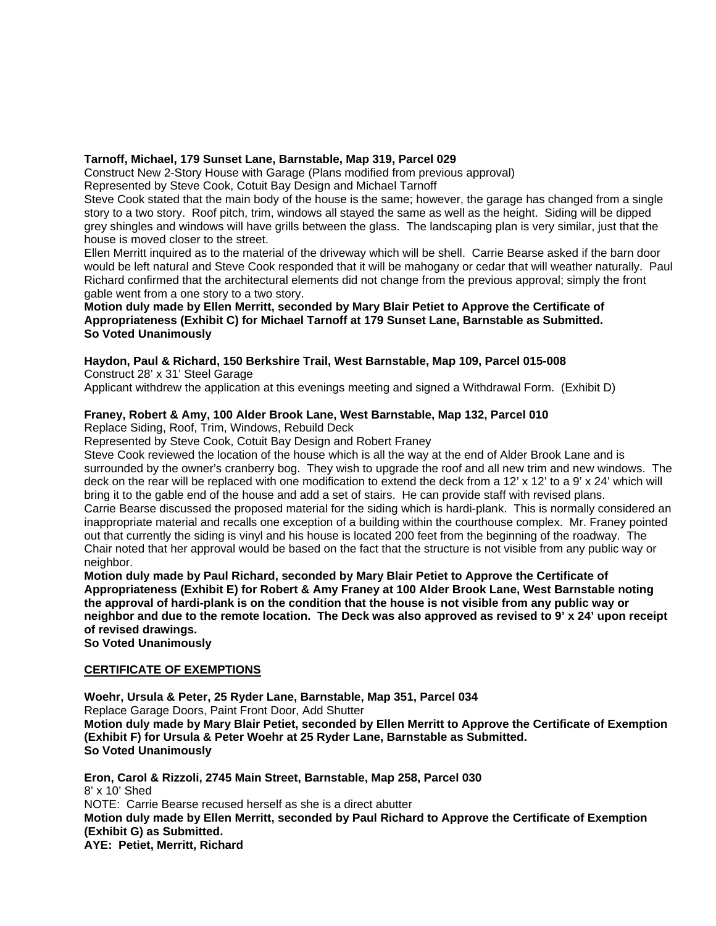## **Tarnoff, Michael, 179 Sunset Lane, Barnstable, Map 319, Parcel 029**

Construct New 2-Story House with Garage (Plans modified from previous approval)

Represented by Steve Cook, Cotuit Bay Design and Michael Tarnoff

Steve Cook stated that the main body of the house is the same; however, the garage has changed from a single story to a two story. Roof pitch, trim, windows all stayed the same as well as the height. Siding will be dipped grey shingles and windows will have grills between the glass. The landscaping plan is very similar, just that the house is moved closer to the street.

Ellen Merritt inquired as to the material of the driveway which will be shell. Carrie Bearse asked if the barn door would be left natural and Steve Cook responded that it will be mahogany or cedar that will weather naturally. Paul Richard confirmed that the architectural elements did not change from the previous approval; simply the front gable went from a one story to a two story.

**Motion duly made by Ellen Merritt, seconded by Mary Blair Petiet to Approve the Certificate of Appropriateness (Exhibit C) for Michael Tarnoff at 179 Sunset Lane, Barnstable as Submitted. So Voted Unanimously** 

**Haydon, Paul & Richard, 150 Berkshire Trail, West Barnstable, Map 109, Parcel 015-008** 

Construct 28' x 31' Steel Garage

Applicant withdrew the application at this evenings meeting and signed a Withdrawal Form. (Exhibit D)

# **Franey, Robert & Amy, 100 Alder Brook Lane, West Barnstable, Map 132, Parcel 010**

Replace Siding, Roof, Trim, Windows, Rebuild Deck

Represented by Steve Cook, Cotuit Bay Design and Robert Franey

Steve Cook reviewed the location of the house which is all the way at the end of Alder Brook Lane and is surrounded by the owner's cranberry bog. They wish to upgrade the roof and all new trim and new windows. The deck on the rear will be replaced with one modification to extend the deck from a 12' x 12' to a 9' x 24' which will bring it to the gable end of the house and add a set of stairs. He can provide staff with revised plans. Carrie Bearse discussed the proposed material for the siding which is hardi-plank. This is normally considered an inappropriate material and recalls one exception of a building within the courthouse complex. Mr. Franey pointed out that currently the siding is vinyl and his house is located 200 feet from the beginning of the roadway. The Chair noted that her approval would be based on the fact that the structure is not visible from any public way or neighbor.

**Motion duly made by Paul Richard, seconded by Mary Blair Petiet to Approve the Certificate of Appropriateness (Exhibit E) for Robert & Amy Franey at 100 Alder Brook Lane, West Barnstable noting the approval of hardi-plank is on the condition that the house is not visible from any public way or neighbor and due to the remote location. The Deck was also approved as revised to 9' x 24' upon receipt of revised drawings.** 

**So Voted Unanimously** 

# **CERTIFICATE OF EXEMPTIONS**

**Woehr, Ursula & Peter, 25 Ryder Lane, Barnstable, Map 351, Parcel 034**  Replace Garage Doors, Paint Front Door, Add Shutter **Motion duly made by Mary Blair Petiet, seconded by Ellen Merritt to Approve the Certificate of Exemption (Exhibit F) for Ursula & Peter Woehr at 25 Ryder Lane, Barnstable as Submitted. So Voted Unanimously** 

**Eron, Carol & Rizzoli, 2745 Main Street, Barnstable, Map 258, Parcel 030**  8' x 10' Shed NOTE: Carrie Bearse recused herself as she is a direct abutter **Motion duly made by Ellen Merritt, seconded by Paul Richard to Approve the Certificate of Exemption (Exhibit G) as Submitted. AYE: Petiet, Merritt, Richard**